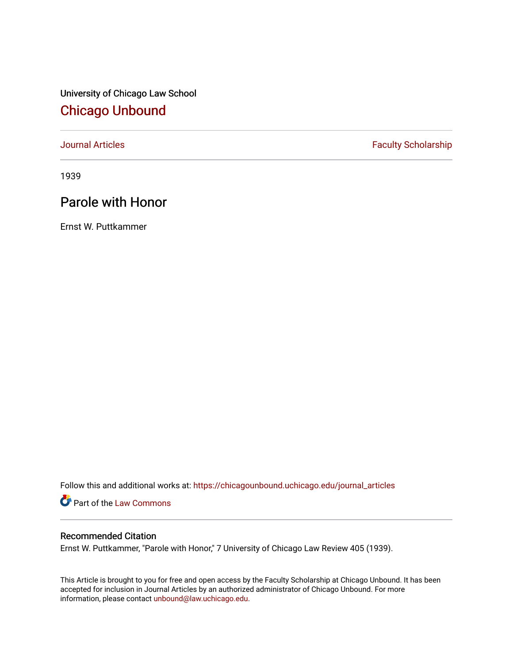University of Chicago Law School [Chicago Unbound](https://chicagounbound.uchicago.edu/)

[Journal Articles](https://chicagounbound.uchicago.edu/journal_articles) **Faculty Scholarship Faculty Scholarship** 

1939

# Parole with Honor

Ernst W. Puttkammer

Follow this and additional works at: [https://chicagounbound.uchicago.edu/journal\\_articles](https://chicagounbound.uchicago.edu/journal_articles?utm_source=chicagounbound.uchicago.edu%2Fjournal_articles%2F9285&utm_medium=PDF&utm_campaign=PDFCoverPages) 

Part of the [Law Commons](http://network.bepress.com/hgg/discipline/578?utm_source=chicagounbound.uchicago.edu%2Fjournal_articles%2F9285&utm_medium=PDF&utm_campaign=PDFCoverPages)

# Recommended Citation

Ernst W. Puttkammer, "Parole with Honor," 7 University of Chicago Law Review 405 (1939).

This Article is brought to you for free and open access by the Faculty Scholarship at Chicago Unbound. It has been accepted for inclusion in Journal Articles by an authorized administrator of Chicago Unbound. For more information, please contact [unbound@law.uchicago.edu](mailto:unbound@law.uchicago.edu).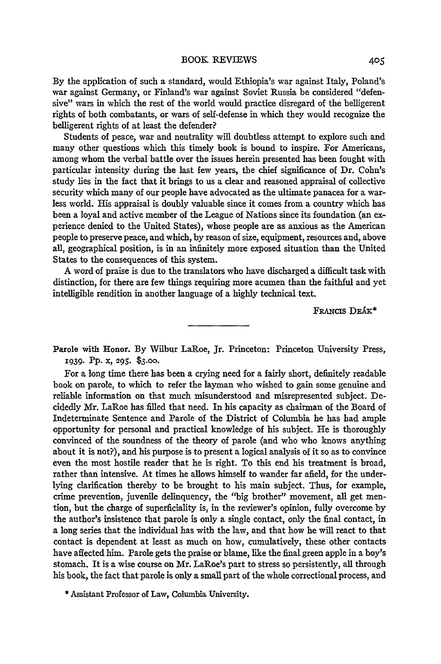### BOOK REVIEWS

By the application of such a standard, would Ethiopia's war against Italy, Poland's war against Germany, or Finland's war against Soviet Russia be considered "defensive" wars in which the rest of the world would practice disregard of the belligerent rights of both combatants, or wars of self-defense in which they would recognize the belligerent rights of at least the defender?

Students of peace, war and neutrality will doubtless attempt to explore such and many other questions which this timely book is bound to inspire. For Americans, among whom the verbal battle over the issues herein presented has been fought with particular intensity during the last few years, the chief significance of Dr. Cohn's study lies in the fact that it brings to us a clear and reasoned appraisal of collective security which many of our people have advocated as the ultimate panacea for a warless world. His appraisal is doubly valuable since it comes from a country which has been a loyal and active member of the League of Nations since its foundation (an experience denied to the United States), whose people are as anxious as the American people to preserve peace, and which, by reason of size, equipment, resources and, above all, geographical position, is in an infinitely more exposed situation than the United States to the consequences of this system.

A word of praise is due to the translators who have discharged a difficult task with distinction, for there are few things requiring more acumen than the faithful and yet intelligible rendition in another language of a highly technical text.

FRANcis DEAK\*

Parole with Honor. By Wilbur LaRoe, Jr. Princeton: Princeton University Press, **1939.** Pp. X, **295. \$3.00.**

For a long time there has been a crying need for a fairly short, definitely readable book on parole, to which to refer the layman who wished to gain some genuine and reliable information on that much misunderstood and misrepresented subject. Decidedly Mr. LaRoe has filled that need. In his capacity as chairman of the Board of Indeterminate Sentence and Parole of the District of Columbia he has had ample opportunity for personal and practical knowledge of his subject. He is thoroughly convinced of the soundness of the theory of parole (and who who knows anything about it is not?), and his purpose is to present a logical analysis of it so as to convince even the most hostile reader that he is right. To this end his treatment is broad, rather than intensive. At times he allows himself to wander far afield, for the underlying clarification thereby to be brought to his main subject. Thus, for example, crime prevention, juvenile delinquency, the "big brother" movement, all get mention, but the charge of superficiality is, in the reviewer's opinion, fully overcome by the author's insistence that parole is only a single contact, only the final contact, in a long series that the individual has with the law, and that how he will react to that contact is dependent at least as much on how, cumulatively, these other contacts have affected him. Parole gets the praise or blame, like the final green apple in a boy's stomach. It is a wise course on Mr. LaRoe's part to stress so persistently, all through his book, the fact that parole is only a small part of the whole correctional process, and

**\*** Assistant Professor of Law, Columbia University.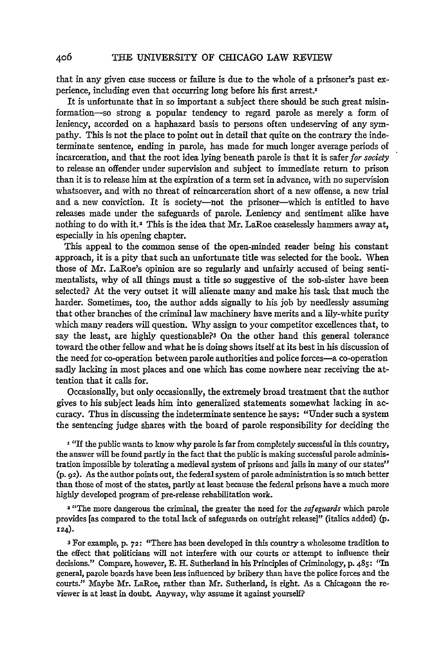that in any given case success or failure is due to the whole of a prisoner's past experience, including even that occurring long before his first arrest. $I^r$ 

It is unfortunate that in so important a subject there should be such great misinformation--so strong a popular tendency to regard parole as merely a form of leniency, accorded on a haphazard basis to persons often undeserving of any sympathy. This is not the place to point out in detail that quite on the contrary the indeterminate sentence, ending in parole, has made for much longer average periods of incarceration, and that the root idea lying beneath parole is that it is *safer for society* to release an offender under supervision and subject to immediate return to prison than it is to release him at the expiration of a term set in advance, with no supervision whatsoever, and with no threat of reincarceration short of a new offense, a new trial and a new conviction. It is society-not the prisoner-which is entitled to have releases made under the safeguards of parole. Leniency and sentiment alike have nothing to do with it.<sup>2</sup> This is the idea that Mr. LaRoe ceaselessly hammers away at, especially in his opening chapter.

This appeal to the common sense of the open-minded reader being his constant approach, it is a pity that such an unfortunate title was selected for the book. When those of Mr. LaRoe's opinion are so regularly and unfairly accused of being sentimentalists, why of all things must a title so suggestive of the sob-sister have been selected? At the very outset it will alienate many and make his task that much the harder. Sometimes, too, the author adds signally to his job by needlessly assuming that other branches of the criminal law machinery have merits and a lily-white purity which many readers will question. Why assign to your competitor excellences that, to say the least, are highly questionable? On the other hand this general tolerance toward the other fellow and what he is doing shows itself at its best in his discussion of the need for co-operation between parole authorities and police forces-a co-operation sadly lacking in most places and one which has come nowhere near receiving the attention that it calls for.

Occasionally, but only occasionally, the extremely broad treatment that the author gives to his subject leads him into generalized statements somewhat lacking in accuracy. Thus in discussing the indeterminate sentence he says: "Under such a system the sentencing judge shares with the board of parole responsibility for deciding the

<sup>1</sup> "If the public wants to know why parole is far from completely successful in this country, the answer will be found partly in the fact that the public is making successful parole administration impossible by tolerating a medieval system of prisons and jails in many of our states" (p. **92).** As the author points out, the federal system of parole administration is so much better than those of most of the states, partly at least because the federal prisons have a much more highly developed program of pre-release rehabilitation work.

2 "The more dangerous the criminal, the greater the need for the *safeguards* which parole provides [as compared to the total lack of safeguards on outright release]" (italics added) (p. **124).**

**3** For example, p. **72:** "There has been developed in this country a wholesome tradition to the effect that politicians will not interfere with our courts or attempt to influence their decisions." Compare, however, **E.** H. Sutherland in his Principles of Criminology, p. 485: "In general, parole boards have been less influenced **by** bribery than have the police forces and the courts." Maybe Mr. LaRoe, rather than Mr. Sutherland, is right. As a Chicagoan the reviewer is at least in doubt. Anyway, why assume it against yourself?

406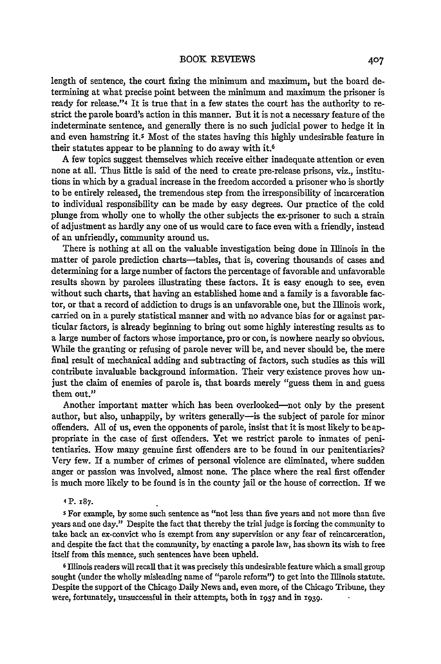#### BOOK REVIEWS

length of sentence, the court fixing the minimum and maximum, but the board determining at what precise point between the minimum and maximum the prisoner is ready for release."4 It is true that in a few states the court has the authority to restrict the parole board's action in this manner. But it is not a necessary feature of the indeterminate sentence, and generally there is no such judicial power to hedge it in and even hamstring it.5 Most of the states having this highly undesirable feature in their statutes appear to be planning to do away with it.6

A few topics suggest themselves which receive either inadequate attention or even none at all. Thus little is said of the need to create pre-release prisons, viz., institutions in which by a gradual increase in the freedom accorded a prisoner who is shortly to be entirely released, the tremendous step from the irresponsibility of incarceration to individual responsibility can be made by easy degrees. Our practice of the cold plunge from wholly one to wholly the other subjects the ex-prisoner to such a strain of adjustment as hardly any one of us would care to face even with a friendly, instead of an unfriendly, community around us.

There is nothing at all on the valuable investigation being done in Illinois in the matter of parole prediction charts—tables, that is, covering thousands of cases and determining for a large number of factors the percentage of favorable and unfavorable results shown by parolees illustrating these factors. It is easy enough to see, even without such charts, that having an established home and a family is a favorable factor, or that a record of addiction to drugs is an unfavorable one, but the Illinois work, carried on in a purely statistical manner and with no advance bias for or against particular factors, is already beginning to bring out some highly interesting results as to a large number of factors whose importance, pro or con, is nowhere nearly so obvious. While the granting or refusing of parole never will be, and never should be, the mere final result of mechanical adding and subtracting of factors, such studies as this will contribute invaluable background information. Their very existence proves how unjust the claim of enemies of parole is, that boards merely "guess them in and guess them out."

Another important matter which has been overlooked-not only by the present author, but also, unhappily, by writers generally—is the subject of parole for minor offenders. All of us, even the opponents of parole, insist that it is most likely to beappropriate in the case of first offenders. Yet we restrict parole to inmates of penitentiaries. How many genuine first offenders are to be found in our penitentiaries? Very few. If a number of crimes of personal violence are eliminated, where sudden anger or passion was involved, almost none. The place where the real first offender is much more likely to be found is in the county jail or the house of correction. If we

#### **4** P. **187.**

**5** For example, **by** some such sentence as "not less than five years and not more than five years and one day." Despite the fact that thereby the trial judge is forcing the community to take back an ex-convict who is exempt from any supervision or any fear of reincarceration, and despite the fact that the community, by enacting a parole law, has shown its wish to free itself from this menace, such sentences have been upheld.

**6** Illinois readers will recall that it was precisely this undesirable feature which a small group sought (under the wholly misleading name of "parole reform") to get into the Illinois statute. Despite the support of the Chicago Daily News and, even more, of the Chicago Tribune, they were, fortunately, unsuccessful in their attempts, both in **1937** and in 1939.